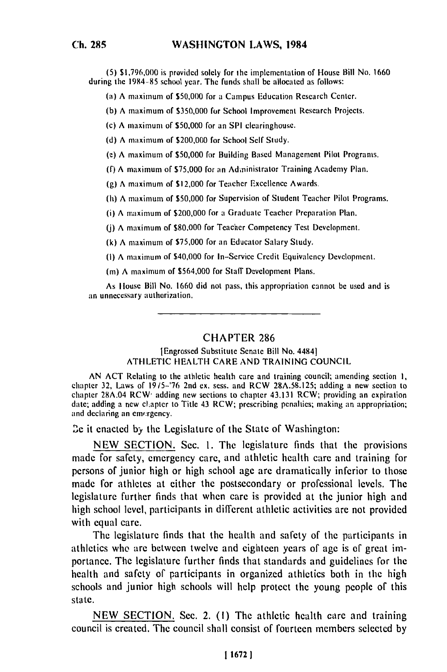**(5) \$1,796,000** is provided solely for the implementation of Ilouse Bill No. **1660** during **the 1984-85** school year. The funds shall **be** allocated as follows:

**(a) A** maximum of **\$50,000** for a Campus Education Research Center.

**(b) A** maximum of **\$350,000** for School Improvement Research Projects.

(c) **A** maximum of **\$50,000** for an **SPI** clearinghouse.

**(d) A** maximum of **\$200,000** for School **Self** Study.

**(c) A** maximum of **\$50,000** for Building Based Management Pilot Programs.

**(f) A** maximum of **\$75,000** for an Administrator Training Academy Plan.

**(g) A** maximum of \$12,000 for Teacher Excellence Awards.

**() A** maximum of **\$50,000** for Supervision of Student Teacher Pilot Programs.

(i) **A** maximum of \$200,000 for a Graduate Teacher Preparation Plan.

**() A** maximum of **\$80,000** for Teacher Competency Test Development.

**(k) A** maximum of **\$75,000** for an Educator Salary Study.

**(I) A** maximum of \$40,000 for In-Service Credit Equivalency Development.

**(m) A** maximum of \$564,000 for Staff Development Plans.

As Ilouse Bill No. **1660** did not pass, this appropriation cannot **be** used and is an unnecessary authorization.

## CHAPTER **286**

## lEngrossed Substitute Senate Bill No. 44841 **ATHLETIC HEALTH** CARE **AND TRAINING COUNCIL**

**AN ACT** Relating to the athletic health care and training council; amending section **1,** chapter **32,** Laws of **19/5-'76** 2nd ex. sess. and RCW **28A.58.125;** adding a new section to chapter 32, Laws of  $M_{20}$  and extractions to chapter  $28A.35.123$ ; adding a new section to chapter 28A.04 RCW<sup>,</sup> adding new sections to chapter 43.131 RCW; providing an expiration; date; adding a new chapter to Title 43 RCW; prescribing penalties; making an appropriation; and declaring an emergency.

**3e** it enacted **by** the Legislature of the State of Washington:

**NEW SECTION.** Sec. **I.** The legislature finds that the provisions made for safety, emergency care, and athletic health care and training for persons of junior high or high school age are dramatically inferior to those made for athletes at either the postsecondary or professional levels. The legislature further finds that when care is provided at the junior high and high school level, participants in different athletic activities **are** not provided with equal care.

The legislature finds that the health and safety of the participants in athletics who are between twelve and eighteen years of age is of great importance. The legislature further finds that standards and guidelines for the health and safety of participants in organized athletics both in the high schools and junior high schools will **help** protect the young people of this state.

NEW SECTION. Sec. 2. (1) The athletic health care and training council is created. The council shall consist of fourteen members selected **by**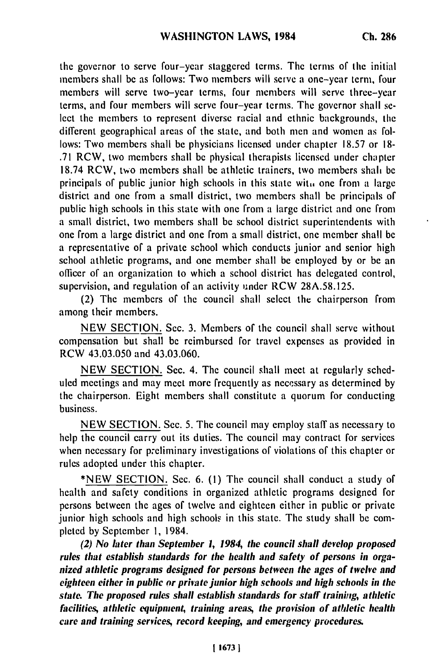the governor to serve four-ycar staggered terms. The terms of the initial members shall be as follows: Two members will serve a one-year term, four members will serve two-year terms, four members will serve three-year terms, and four members will serve four-year terms. The governor shall select the members to represent diverse racial and ethnic backgrounds, the different geographical areas of the state, and both men and women as follows: Two members shall be physicians licensed under chapter **18.57** or **18- .71** RCW, two members shall be physical therapists licensed under chapter **18.74** RCW, two members shall be athletic trainers, two members shah **be** principals of public junior high schools in this state **wit,.** one from a large district and one from a small district, two members shall be principals of public high schools in this state with one from a large district and one from a small district, two members shall be school district superintendents with one from a large district and one from a small district, one member shall be a representative of a private school which conducts junior and senior high school athletic programs, and one member shall be employed **by** or **be** an officer of an organization to which a school district has delegated control, supervision, and regulation of an activity under RCW **28A.58.125.**

(2) The members of the council shall select the chairperson from among their members.

**NEW SECTION.** Sec. **3.** Members of the council shall serve without compensation but shall **be** reimbursed for travel expenses as provided in RCW 43.03.050 and 43.03.060.

**NEW SECTION.** Sec. 4. The council shall meet at regularly scheduled meetings and may meet more frequently as necessary as determined **by** the chairperson. Eight members shall constitute a quorum for conducting business.

**NEW SECTION.** Sec. 5. The council may employ staff as necessary to help the council carry out its duties. The council may contract for services when necessary for preliminary investigations of violations of this chapter or rules adopted under this chapter.

**\*NEW SECTION.** Sec. **6. (1)** The council shall conduct a study of health and safety conditions in organized athletic programs designed for persons between the ages of twelve and eighteen either in public or private junior high schools and high schools in this state. The study shall be completed **by** September **1,** 1984.

**(2) No later than** *September* **1, 1984, the council shall develop** *proposed rules* **that** *establish standards for the* **health and safety of persons** *in* **organized athletic programs designed** *for persons between the ages of twelve* **and eighteen either in** *public or private junior high schools and high schools in the* **state.** *The proposed rules* **shall establish standards for staff training,** *athletic* **facilities, athletic equipment,** *training* **areas,** *the* **provision** *of* **athletic health care** *and training services, record keeping, and emergency procedures.*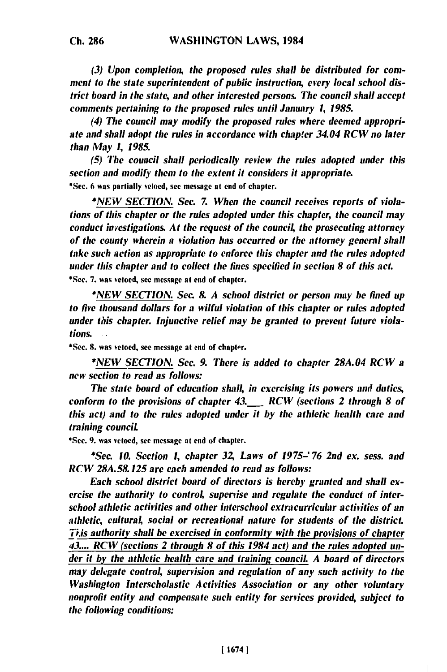**Ch. 286**

*(3) Upon completion, the proposed* rules shall *be distributed for comment to the state superintendent of public instruction, every local school district board in the state, and other interested persons. The council shall accept comments pertaining to the proposed rules until January 1, 1985.*

*(4) The council may modify the proposed rules where deemed appropri*ate and shall adopt the rules in accordance with chapter 34.04 RCW no later *than May 1, 1985.*

*(5) The council shall periodically review the rules adopted under this section and modify them to the extent it considers it appropriate.* **\*Sec. 6** was partially vetoed, see message at end of chapter.

*\*NEW SECTION. Sec. 7. When the council receives reports of violations of this chapter or the rules adopted under this chapter, the council may conduct investigations. At the request of the council, the prosecuting attorney of the county wherein a violation has occurred or the attorney general shall take such action as appropriate to enforce this chapter and the rules adopted under this chapter and to collect the fines specified in section 8 of this act.* \*Sec. **7.** was vetoed, see message at end of chapter.

*\*NEW SECTION. See. 8. A school district or person may he fined up to five thousand dollars for a wilful violation of this chapter or rules adopted under* this *chapter. Injunctive relief may* **be** *granted to prevent future violations.*

\*Sec. **8.** was vetoed, see message at end of chapter.

*\*NEW SECTION. Sec. 9. There is added to chapter 28A.04 RCW a new section to read as follows:*

*The state hoard of education shall, in exercishg its powers and duties, conform to the provisions of chapter 43. RCW (sections 2 through 8 of this act) and to the rules adopted under it by the athletic health care and training council.*

\*Sec. **9.** was vetoed, **see** message at end of chapter.

*\*See. 10. Section 1, chapter* **32** *Laws of 1975-' 76 2nd ex. sess. and RCW 28A.58.125 are each amended to read as follows:*

Each school district board of directors is hereby granted and shall ex*ercise the authority to control, supervise and regulate the conduct of interschool athletic activities and other interschool extracurricular activities of an athletic, cultural, social or recreational nature for students of the district. Tiis authority shall be exercised in conformity with the provisions of chapter* **43....** *RCW (sections 2 through 8 of this 1984 act) and the rules adopted under it by the athletic health care and training council A board of directors may delegate control, supervision and regulation of any such activity to the Washington Interscholastic Activities Association or any other voluntary nonprofit entity and compensate such entity for services provided, subject to the following conditions:*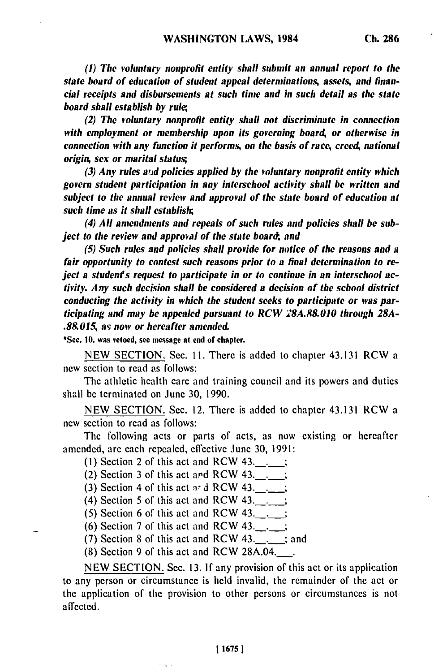*(1)* The *voluntary nonprofit entity shall submit an annual report to the state board of education of student appeal determinations, assets, and financial receipts and disbursements at such time and in such detail as the state board shall establish by rul,*

*(2) The voluntary nonprofit entity shall not discriminate in connection with employment or membership upon its governing board, or otherwise in connection with any function it performs, on the basis of race, creed, national origin, sex or marital status;*

*(3) Any rules ajd policies applied by the voluntary nonprofit entity which govern student participation in any interschool activity shall be written and subject to the annual review and approval of the state board of education at such time as it shall establish;*

*(4) All amendments and repeals of such rules and policies shall be subject to the review and approval of the state board, and* 

*(5) Such rules and policies shall provide for notice of the reasons and a fair opportunity to contest such reasons prior to a final determination to reject a studenfs request to participate in or to continue in an interschool activity. Any such decision shall be considered a decision of the school district conducting the activity in which the student seeks to participate or was participating and may be appealed pursuant to RCW 28A.88.010 through 28A- .88.015, av now or hereafter amended.*

\*Sec. **10.** was **vetoed, see** message at end of chapter.

**NEW SECTION.** Sec. **11.** There is added to chapter 43.131 RCW a **new** section to read as follows:

The athletic health care and training council and its powers and duties shall be terminated on June **30, 1990.**

**NEW SECTION.** Sec. 12. There is added to chapter 43.131 RCW a new section to read as follows:

The following acts or parts of acts, as now existing or hereafter amended, are each repealed, effective June 30, 1991:

- (1) Section 2 of this act and RCW  $43.$ ...
- (2) Section 3 of this act and RCW 43........
- (3) Section 4 of this act -r d RCW **43..\_;**
- (4) Section 5 of this act and RCW 43..\_;
- (5) Section 6 of this act and RCW 43..\_;
- (6) Section 7 of this act and RCW  $43.$ ...
- (7) Section 8 of this act and RCW  $43.$ ............; and

 $(8)$  Section 9 of this act and RCW 28A.04.

nis,

NEW SECTION. Sec. 13. If any provision of this act or its application to any person or circumstance is held invalid, the remainder of the act or the application of the provision to other persons or circumstances is not affected.